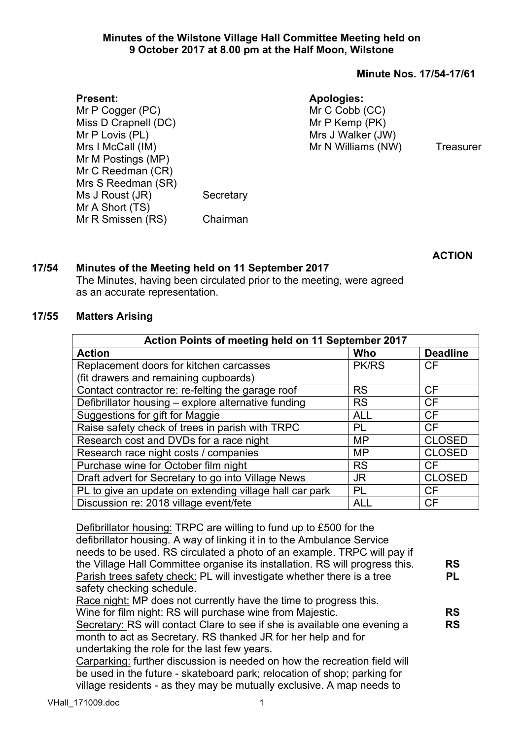## **Minutes of the Wilstone Village Hall Committee Meeting held on 9 October 2017 at 8.00 pm at the Half Moon, Wilstone**

## **Minute Nos. 17/54-17/61**

## **Apologies:**

Mr P Cogger (PC)

Mr C Cobb (CC) Mr P Kemp (PK) Mrs J Walker (JW) Mr N Williams (NW) Treasurer

Miss D Crapnell (DC) Mr P Lovis (PL) Mrs I McCall (IM) Mr M Postings (MP) Mr C Reedman (CR) Mrs S Reedman (SR) Ms J Roust (JR) Secretary Mr A Short (TS) Mr R Smissen (RS) Chairman

**ACTION**

## **17/54 Minutes of the Meeting held on 11 September 2017**

The Minutes, having been circulated prior to the meeting, were agreed as an accurate representation.

## **17/55 Matters Arising**

**Present:**

| Action Points of meeting held on 11 September 2017      |            |                 |  |  |
|---------------------------------------------------------|------------|-----------------|--|--|
| <b>Action</b>                                           | Who        | <b>Deadline</b> |  |  |
| Replacement doors for kitchen carcasses                 | PK/RS      | CF              |  |  |
| (fit drawers and remaining cupboards)                   |            |                 |  |  |
| Contact contractor re: re-felting the garage roof       | <b>RS</b>  | <b>CF</b>       |  |  |
| Defibrillator housing - explore alternative funding     | <b>RS</b>  | <b>CF</b>       |  |  |
| Suggestions for gift for Maggie                         | <b>ALL</b> | <b>CF</b>       |  |  |
| Raise safety check of trees in parish with TRPC         | PL         | <b>CF</b>       |  |  |
| Research cost and DVDs for a race night                 | <b>MP</b>  | <b>CLOSED</b>   |  |  |
| Research race night costs / companies                   | <b>MP</b>  | <b>CLOSED</b>   |  |  |
| Purchase wine for October film night                    | <b>RS</b>  | <b>CF</b>       |  |  |
| Draft advert for Secretary to go into Village News      | <b>JR</b>  | <b>CLOSED</b>   |  |  |
| PL to give an update on extending village hall car park | PL         | CF              |  |  |
| Discussion re: 2018 village event/fete                  | <b>ALL</b> | CF              |  |  |

Defibrillator housing: TRPC are willing to fund up to £500 for the defibrillator housing. A way of linking it in to the Ambulance Service needs to be used. RS circulated a photo of an example. TRPC will pay if the Village Hall Committee organise its installation. RS will progress this. Parish trees safety check: PL will investigate whether there is a tree safety checking schedule. Race night: MP does not currently have the time to progress this. Wine for film night: RS will purchase wine from Majestic. Secretary: RS will contact Clare to see if she is available one evening a month to act as Secretary. RS thanked JR for her help and for **RS PL RS RS**

undertaking the role for the last few years.

Carparking: further discussion is needed on how the recreation field will be used in the future - skateboard park; relocation of shop; parking for village residents - as they may be mutually exclusive. A map needs to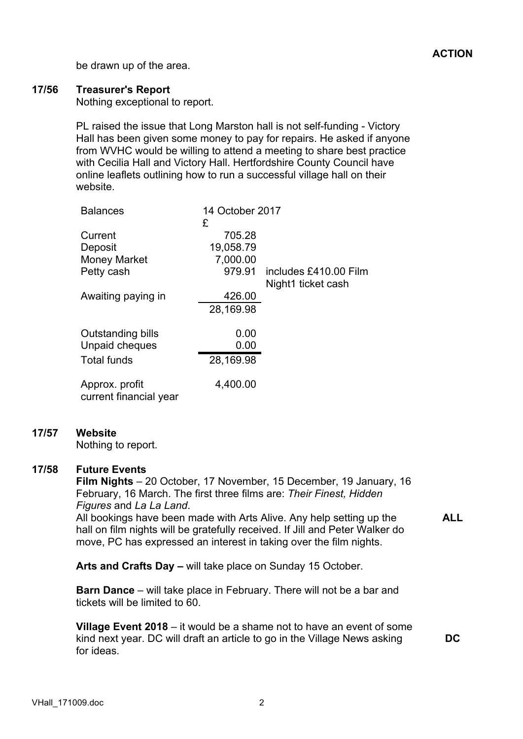be drawn up of the area.

## **17/56 Treasurer's Report**

Nothing exceptional to report.

PL raised the issue that Long Marston hall is not self-funding - Victory Hall has been given some money to pay for repairs. He asked if anyone from WVHC would be willing to attend a meeting to share best practice with Cecilia Hall and Victory Hall. Hertfordshire County Council have online leaflets outlining how to run a successful village hall on their website.

| <b>Balances</b>                          | 14 October 2017 |                                             |
|------------------------------------------|-----------------|---------------------------------------------|
| Current                                  | £<br>705.28     |                                             |
| Deposit                                  | 19,058.79       |                                             |
| <b>Money Market</b>                      | 7,000.00        |                                             |
| Petty cash                               | 979.91          | includes £410.00 Film<br>Night1 ticket cash |
| Awaiting paying in                       | 426.00          |                                             |
|                                          | 28,169.98       |                                             |
| <b>Outstanding bills</b>                 | 0.00            |                                             |
| Unpaid cheques                           | 0.00            |                                             |
| <b>Total funds</b>                       | 28,169.98       |                                             |
| Approx. profit<br>current financial year | 4,400.00        |                                             |

## **17/57 Website**

Nothing to report.

#### **17/58 Future Events**

**Film Nights** – 20 October, 17 November, 15 December, 19 January, 16 February, 16 March. The first three films are: *Their Finest, Hidden Figures* and *La La Land*. All bookings have been made with Arts Alive. Any help setting up the

hall on film nights will be gratefully received. If Jill and Peter Walker do move, PC has expressed an interest in taking over the film nights.

**ALL**

**Arts and Crafts Day –** will take place on Sunday 15 October.

**Barn Dance** – will take place in February. There will not be a bar and tickets will be limited to 60.

**Village Event 2018** – it would be a shame not to have an event of some kind next year. DC will draft an article to go in the Village News asking for ideas.

**DC**